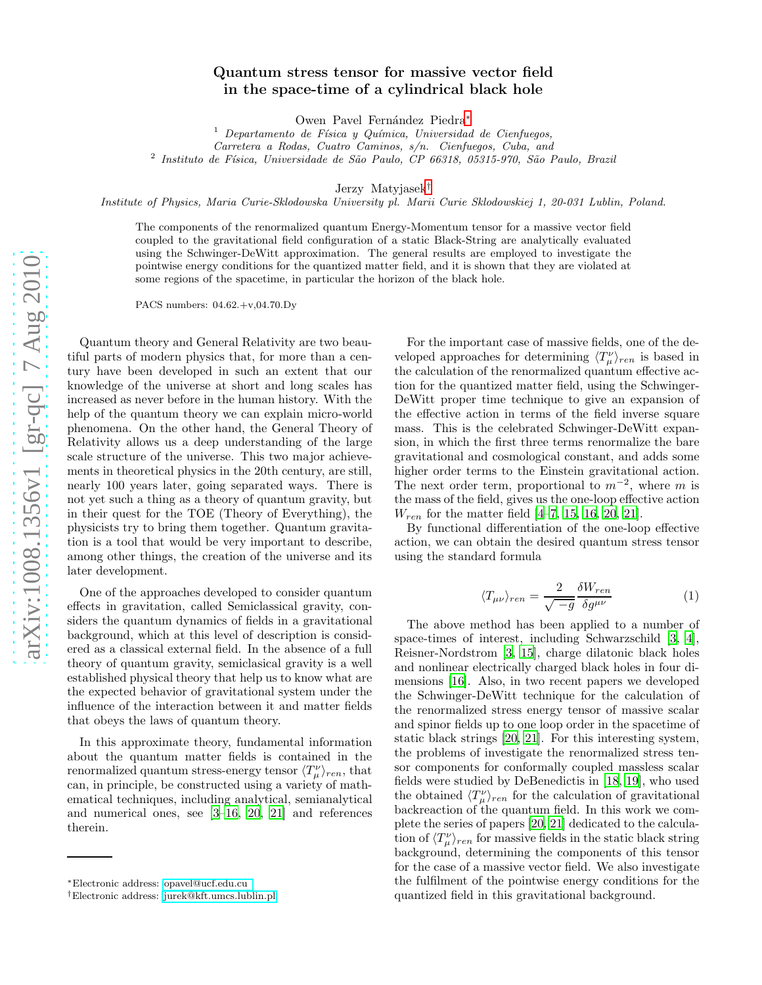## Quantum stress tensor for massive vector field in the space-time of a cylindrical black hole

Owen Pavel Fernández Piedra\*

 $1$  Departamento de Física y Química, Universidad de Cienfuegos, Carretera a Rodas, Cuatro Caminos, s/n. Cienfuegos, Cuba, and

<sup>2</sup> Instituto de Física, Universidade de São Paulo, CP 66318, 05315-970, São Paulo, Brazil

Jerzy Matyjasek [†](#page-0-1)

Institute of Physics, Maria Curie-Sklodowska University pl. Marii Curie Sklodowskiej 1, 20-031 Lublin, Poland.

The components of the renormalized quantum Energy-Momentum tensor for a massive vector field coupled to the gravitational field configuration of a static Black-String are analytically evaluated using the Schwinger-DeWitt approximation. The general results are employed to investigate the pointwise energy conditions for the quantized matter field, and it is shown that they are violated at some regions of the spacetime, in particular the horizon of the black hole.

PACS numbers: 04.62.+v,04.70.Dy

Quantum theory and General Relativity are two beautiful parts of modern physics that, for more than a century have been developed in such an extent that our knowledge of the universe at short and long scales has increased as never before in the human history. With the help of the quantum theory we can explain micro-world phenomena. On the other hand, the General Theory of Relativity allows us a deep understanding of the large scale structure of the universe. This two major achievements in theoretical physics in the 20th century, are still, nearly 100 years later, going separated ways. There is not yet such a thing as a theory of quantum gravity, but in their quest for the TOE (Theory of Everything), the physicists try to bring them together. Quantum gravitation is a tool that would be very important to describe, among other things, the creation of the universe and its later development.

One of the approaches developed to consider quantum effects in gravitation, called Semiclassical gravity, considers the quantum dynamics of fields in a gravitational background, which at this level of description is considered as a classical external field. In the absence of a full theory of quantum gravity, semiclasical gravity is a well established physical theory that help us to know what are the expected behavior of gravitational system under the influence of the interaction between it and matter fields that obeys the laws of quantum theory.

In this approximate theory, fundamental information about the quantum matter fields is contained in the renormalized quantum stress-energy tensor  $\langle T_{\mu }^{\nu }\rangle _{ren}$ , that can, in principle, be constructed using a variety of mathematical techniques, including analytical, semianalytical and numerical ones, see [\[3](#page-3-0)[–16](#page-3-1), [20](#page-3-2), [21](#page-3-3)] and references therein.

For the important case of massive fields, one of the developed approaches for determining  $\langle T_{\mu}^{\nu} \rangle_{ren}$  is based in the calculation of the renormalized quantum effective action for the quantized matter field, using the Schwinger-DeWitt proper time technique to give an expansion of the effective action in terms of the field inverse square mass. This is the celebrated Schwinger-DeWitt expansion, in which the first three terms renormalize the bare gravitational and cosmological constant, and adds some higher order terms to the Einstein gravitational action. The next order term, proportional to  $m^{-2}$ , where m is the mass of the field, gives us the one-loop effective action  $W_{ren}$  for the matter field [\[4](#page-3-4)[–7](#page-3-5), [15](#page-3-6), [16,](#page-3-1) [20](#page-3-2), [21\]](#page-3-3).

By functional differentiation of the one-loop effective action, we can obtain the desired quantum stress tensor using the standard formula

$$
\langle T_{\mu\nu} \rangle_{ren} = \frac{2}{\sqrt{-g}} \frac{\delta W_{ren}}{\delta g^{\mu\nu}} \tag{1}
$$

The above method has been applied to a number of space-times of interest, including Schwarzschild [\[3,](#page-3-0) [4\]](#page-3-4), Reisner-Nordstrom [\[3,](#page-3-0) [15\]](#page-3-6), charge dilatonic black holes and nonlinear electrically charged black holes in four dimensions [\[16\]](#page-3-1). Also, in two recent papers we developed the Schwinger-DeWitt technique for the calculation of the renormalized stress energy tensor of massive scalar and spinor fields up to one loop order in the spacetime of static black strings [\[20,](#page-3-2) [21\]](#page-3-3). For this interesting system, the problems of investigate the renormalized stress tensor components for conformally coupled massless scalar fields were studied by DeBenedictis in [\[18,](#page-3-7) [19](#page-3-8)], who used the obtained  $\langle T_{\mu}^{\nu} \rangle_{ren}$  for the calculation of gravitational backreaction of the quantum field. In this work we complete the series of papers [\[20,](#page-3-2) [21](#page-3-3)] dedicated to the calculation of  $\langle T_{\mu}^{\nu} \rangle_{ren}$  for massive fields in the static black string background, determining the components of this tensor for the case of a massive vector field. We also investigate the fulfilment of the pointwise energy conditions for the quantized field in this gravitational background.

<span id="page-0-0"></span><sup>∗</sup>Electronic address: [opavel@ucf.edu.cu](mailto:opavel@ucf.edu.cu )

<span id="page-0-1"></span><sup>†</sup>Electronic address: [jurek@kft.umcs.lublin.pl](mailto:jurek@kft.umcs.lublin.pl)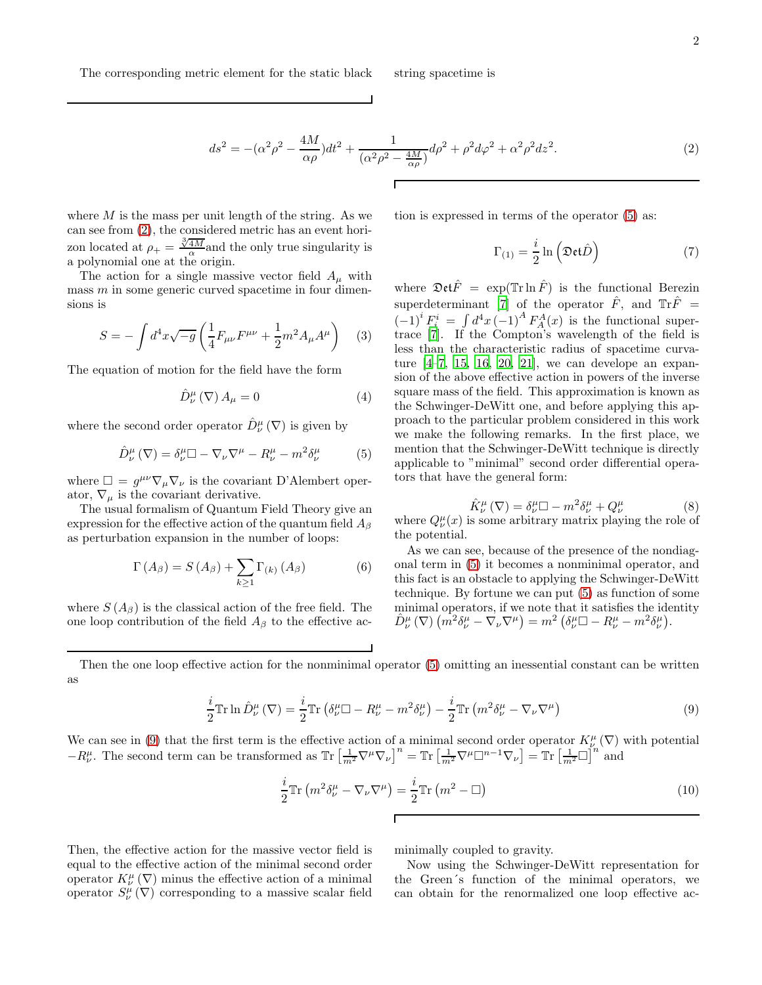<span id="page-1-0"></span>
$$
ds^{2} = -(\alpha^{2}\rho^{2} - \frac{4M}{\alpha\rho})dt^{2} + \frac{1}{(\alpha^{2}\rho^{2} - \frac{4M}{\alpha\rho})}d\rho^{2} + \rho^{2}d\varphi^{2} + \alpha^{2}\rho^{2}dz^{2}.
$$
 (2)

where  $M$  is the mass per unit length of the string. As we can see from [\(2\)](#page-1-0), the considered metric has an event horizon located at  $\rho_+ = \frac{\sqrt[3]{4M}}{\alpha}$  and the only true singularity is a polynomial one at the origin.

The action for a single massive vector field  $A_\mu$  with mass  $m$  in some generic curved spacetime in four dimensions is

$$
S = -\int d^4x \sqrt{-g} \left( \frac{1}{4} F_{\mu\nu} F^{\mu\nu} + \frac{1}{2} m^2 A_\mu A^\mu \right) \tag{3}
$$

The equation of motion for the field have the form

$$
\hat{D}_{\nu}^{\mu} \left( \nabla \right) A_{\mu} = 0 \tag{4}
$$

where the second order operator  $\hat{D}^{\mu}_{\nu}(\nabla)$  is given by

<span id="page-1-1"></span>
$$
\hat{D}^{\mu}_{\nu}(\nabla) = \delta^{\mu}_{\nu} \square - \nabla_{\nu} \nabla^{\mu} - R^{\mu}_{\nu} - m^2 \delta^{\mu}_{\nu} \tag{5}
$$

where  $\Box = g^{\mu\nu}\nabla_{\mu}\nabla_{\nu}$  is the covariant D'Alembert operator,  $\nabla_{\mu}$  is the covariant derivative.

The usual formalism of Quantum Field Theory give an expression for the effective action of the quantum field  $A_\beta$ as perturbation expansion in the number of loops:

$$
\Gamma(A_{\beta}) = S(A_{\beta}) + \sum_{k \ge 1} \Gamma_{(k)}(A_{\beta})
$$
 (6)

where  $S(A_\beta)$  is the classical action of the free field. The one loop contribution of the field  $A_\beta$  to the effective action is expressed in terms of the operator [\(5\)](#page-1-1) as:

$$
\Gamma_{(1)} = \frac{i}{2} \ln \left( \mathfrak{Det} \hat{D} \right) \tag{7}
$$

where  $\mathfrak{Det}\hat{F} = \exp(\mathbb{T}\mathrm{r}\ln \hat{F})$  is the functional Berezin superdeterminant [\[7\]](#page-3-5) of the operator  $\hat{F}$ , and  $\text{Tr}\hat{F}$  =  $(-1)^i F_i^i = \int d^4x \, (-1)^A F_A^A(x)$  is the functional supertrace [\[7](#page-3-5)]. If the Compton's wavelength of the field is less than the characteristic radius of spacetime curvature  $[4-7, 15, 16, 20, 21]$  $[4-7, 15, 16, 20, 21]$  $[4-7, 15, 16, 20, 21]$  $[4-7, 15, 16, 20, 21]$  $[4-7, 15, 16, 20, 21]$  $[4-7, 15, 16, 20, 21]$  $[4-7, 15, 16, 20, 21]$ , we can develope an expansion of the above effective action in powers of the inverse square mass of the field. This approximation is known as the Schwinger-DeWitt one, and before applying this approach to the particular problem considered in this work we make the following remarks. In the first place, we mention that the Schwinger-DeWitt technique is directly applicable to "minimal" second order differential operators that have the general form:

$$
\hat{K}^{\mu}_{\nu}(\nabla) = \delta^{\mu}_{\nu} \square - m^2 \delta^{\mu}_{\nu} + Q^{\mu}_{\nu}
$$
\n(8)

where  $Q^{\mu}_{\nu}(x)$  is some arbitrary matrix playing the role of the potential.

As we can see, because of the presence of the nondiagonal term in [\(5\)](#page-1-1) it becomes a nonminimal operator, and this fact is an obstacle to applying the Schwinger-DeWitt technique. By fortune we can put [\(5\)](#page-1-1) as function of some minimal operators, if we note that it satisfies the identity  $\hat{D}^{\mu}_{\nu}\left(\nabla\right)\left(\hat{m^{2}}\delta_{\nu}^{\mu}-\nabla_{\nu}\nabla^{\mu}\right)=m^{2}\left(\delta_{\nu}^{\mu}\Box-R_{\nu}^{\mu}-m^{2}\delta_{\nu}^{\mu}\right).$ 

Then the one loop effective action for the nonminimal operator [\(5\)](#page-1-1) omitting an inessential constant can be written as

<span id="page-1-2"></span>
$$
\frac{i}{2}\mathbb{T}\mathbf{r}\ln\hat{D}_{\nu}^{\mu}\left(\nabla\right) = \frac{i}{2}\mathbb{T}\mathbf{r}\left(\delta_{\nu}^{\mu}\Box - R_{\nu}^{\mu} - m^{2}\delta_{\nu}^{\mu}\right) - \frac{i}{2}\mathbb{T}\mathbf{r}\left(m^{2}\delta_{\nu}^{\mu} - \nabla_{\nu}\nabla^{\mu}\right)
$$
\n(9)

We can see in [\(9\)](#page-1-2) that the first term is the effective action of a minimal second order operator  $K^{\mu}_{\nu}(\nabla)$  with potential  $-R^{\mu}_{\nu}$ . The second term can be transformed as  $\operatorname{Tr}\left[\frac{1}{m^2}\nabla^{\mu}\nabla_{\nu}\right]^{n} = \operatorname{Tr}\left[\frac{1}{m^2}\nabla^{\mu}\Box^{n-1}\nabla_{\nu}\right] = \operatorname{Tr}\left[\frac{1}{m^2}\Box\right]^{n}$  and

 $\Gamma$ 

$$
\frac{i}{2}\mathrm{Tr}\left(m^2\delta^{\mu}_{\nu}-\nabla_{\nu}\nabla^{\mu}\right)=\frac{i}{2}\mathrm{Tr}\left(m^2-\square\right)
$$
\n(10)

Then, the effective action for the massive vector field is equal to the effective action of the minimal second order operator  $K^{\mu}_{\nu}(\nabla)$  minus the effective action of a minimal operator  $S^{\mu}_{\nu}(\nabla)$  corresponding to a massive scalar field minimally coupled to gravity.

Now using the Schwinger-DeWitt representation for the Green´s function of the minimal operators, we can obtain for the renormalized one loop effective ac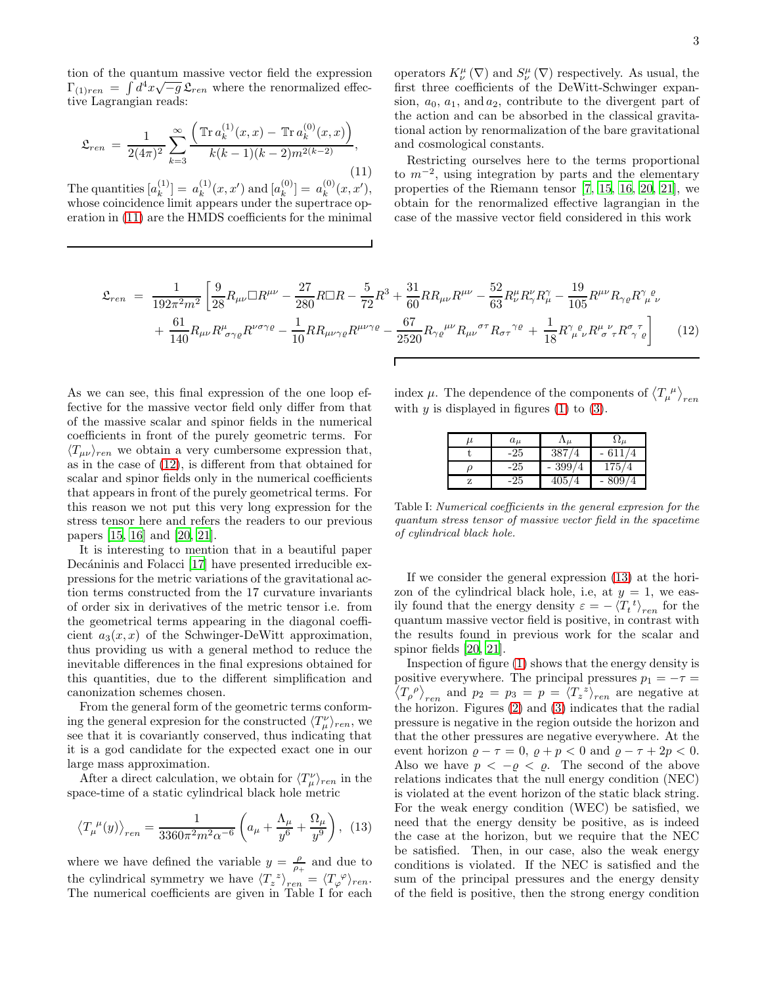tion of the quantum massive vector field the expression  $\Gamma_{(1)ren} = \int d^4x \sqrt{-g} \mathfrak{L}_{ren}$  where the renormalized effective Lagrangian reads:

<span id="page-2-0"></span>
$$
\mathfrak{L}_{ren} = \frac{1}{2(4\pi)^2} \sum_{k=3}^{\infty} \frac{\left( \operatorname{Tr} a_k^{(1)}(x,x) - \operatorname{Tr} a_k^{(0)}(x,x) \right)}{k(k-1)(k-2)m^{2(k-2)}},\tag{11}
$$

The quantities  $[a_k^{(1)}]$  $\binom{1}{k} = a_k^{(1)}$  $k^{(1)}(x, x')$  and  $[a_k^{(0)}]$  $\binom{0}{k}$  =  $a_k^{(0)}$  $_{k}^{\left( 0\right) }(x,x^{\prime}),$ whose coincidence limit appears under the supertrace operation in [\(11\)](#page-2-0) are the HMDS coefficients for the minimal

operators  $K^{\mu}_{\nu}(\nabla)$  and  $S^{\mu}_{\nu}(\nabla)$  respectively. As usual, the first three coefficients of the DeWitt-Schwinger expansion,  $a_0$ ,  $a_1$ , and  $a_2$ , contribute to the divergent part of the action and can be absorbed in the classical gravitational action by renormalization of the bare gravitational and cosmological constants.

Restricting ourselves here to the terms proportional to  $m^{-2}$ , using integration by parts and the elementary properties of the Riemann tensor [\[7,](#page-3-5) [15,](#page-3-6) [16](#page-3-1), [20,](#page-3-2) [21](#page-3-3)], we obtain for the renormalized effective lagrangian in the case of the massive vector field considered in this work

<span id="page-2-1"></span>
$$
\mathfrak{L}_{ren} = \frac{1}{192\pi^2 m^2} \left[ \frac{9}{28} R_{\mu\nu} \Box R^{\mu\nu} - \frac{27}{280} R \Box R - \frac{5}{72} R^3 + \frac{31}{60} R R_{\mu\nu} R^{\mu\nu} - \frac{52}{63} R^{\mu}_{\nu} R^{\nu}_{\gamma} R^{\gamma}_{\mu} - \frac{19}{105} R^{\mu\nu} R_{\gamma\varrho} R^{\gamma}_{\mu} \varrho_{\mu} R^{\nu}_{\mu} + \frac{61}{140} R_{\mu\nu} R^{\mu}_{\sigma\gamma\varrho} R^{\nu\sigma\gamma\varrho} - \frac{1}{10} R R_{\mu\nu\gamma\varrho} R^{\mu\nu\gamma\varrho} - \frac{67}{2520} R_{\gamma\varrho}{}^{\mu\nu} R_{\mu\nu}{}^{\sigma\tau} R_{\sigma\tau}{}^{\gamma\varrho} + \frac{1}{18} R^{\gamma}_{\mu}{}^{\varrho}_{\nu} R^{\mu}{}^{\nu}_{\sigma} R^{\sigma}{}^{\tau}_{\gamma}{}^{\varrho} \right] \tag{12}
$$

As we can see, this final expression of the one loop effective for the massive vector field only differ from that of the massive scalar and spinor fields in the numerical coefficients in front of the purely geometric terms. For  $\langle T_{\mu\nu}\rangle_{ren}$  we obtain a very cumbersome expression that, as in the case of [\(12\)](#page-2-1), is different from that obtained for scalar and spinor fields only in the numerical coefficients that appears in front of the purely geometrical terms. For this reason we not put this very long expression for the stress tensor here and refers the readers to our previous papers [\[15,](#page-3-6) [16\]](#page-3-1) and [\[20,](#page-3-2) [21\]](#page-3-3).

It is interesting to mention that in a beautiful paper Decáninis and Folacci [\[17](#page-3-9)] have presented irreducible expressions for the metric variations of the gravitational action terms constructed from the 17 curvature invariants of order six in derivatives of the metric tensor i.e. from the geometrical terms appearing in the diagonal coefficient  $a_3(x, x)$  of the Schwinger-DeWitt approximation, thus providing us with a general method to reduce the inevitable differences in the final expresions obtained for this quantities, due to the different simplification and canonization schemes chosen.

From the general form of the geometric terms conforming the general expresion for the constructed  $\langle T_{\mu }^{\nu }\rangle _{ren}$ , we see that it is covariantly conserved, thus indicating that it is a god candidate for the expected exact one in our large mass approximation.

After a direct calculation, we obtain for  $\langle T_{\mu}^{\nu} \rangle_{ren}$  in the space-time of a static cylindrical black hole metric

<span id="page-2-2"></span>
$$
\left\langle T_{\mu}{}^{\mu}(y)\right\rangle_{ren} = \frac{1}{3360\pi^2 m^2 \alpha^{-6}} \left( a_{\mu} + \frac{\Lambda_{\mu}}{y^6} + \frac{\Omega_{\mu}}{y^9} \right), (13)
$$

where we have defined the variable  $y = \frac{\rho}{\rho_+}$  and due to the cylindrical symmetry we have  $\langle T_z^z \rangle_{ren} = \langle T_\varphi^{\varphi} \rangle_{ren}$ . The numerical coefficients are given in Table I for each

index  $\mu$ . The dependence of the components of  $\langle T_{\mu}{}^{\mu} \rangle_{ren}$ with  $y$  is displayed in figures [\(1\)](#page-3-10) to [\(3\)](#page-3-11).

| $_{\mu}$ | $a_{\mu}$ | $\mathbf{11}_H$ | $5.4\mu$   |
|----------|-----------|-----------------|------------|
|          | -25       | 387<br>′4       | 611        |
|          | -25       | 399/<br>΄4      | 175/<br>'4 |
|          | -25       | 405<br>΄4       | 309        |

Table I: Numerical coefficients in the general expresion for the quantum stress tensor of massive vector field in the spacetime of cylindrical black hole.

If we consider the general expression [\(13\)](#page-2-2) at the horizon of the cylindrical black hole, i.e, at  $y = 1$ , we easily found that the energy density  $\varepsilon = -\langle T_t^{\ t} \rangle_{ren}$  for the quantum massive vector field is positive, in contrast with the results found in previous work for the scalar and spinor fields [\[20](#page-3-2), [21](#page-3-3)].

Inspection of figure [\(1\)](#page-3-10) shows that the energy density is positive everywhere. The principal pressures  $p_1 = -\tau =$  $\langle T_{\rho}^{\ \rho} \rangle_{ren}$  and  $p_2 = p_3 = p = \langle T_z^{\ z} \rangle_{ren}$  are negative at the horizon. Figures [\(2\)](#page-3-12) and [\(3\)](#page-3-11) indicates that the radial pressure is negative in the region outside the horizon and that the other pressures are negative everywhere. At the event horizon  $\rho - \tau = 0$ ,  $\rho + p < 0$  and  $\rho - \tau + 2p < 0$ . Also we have  $p < -\varrho < \varrho$ . The second of the above relations indicates that the null energy condition (NEC) is violated at the event horizon of the static black string. For the weak energy condition (WEC) be satisfied, we need that the energy density be positive, as is indeed the case at the horizon, but we require that the NEC be satisfied. Then, in our case, also the weak energy conditions is violated. If the NEC is satisfied and the sum of the principal pressures and the energy density of the field is positive, then the strong energy condition